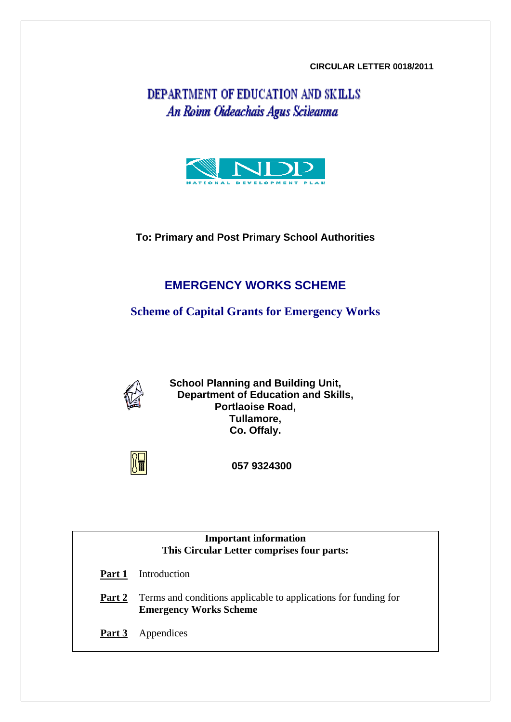### **CIRCULAR LETTER 0018/2011**

DEPARTMENT OF EDUCATION AND SKILLS An Roinn Oideachais Agus Scileanna



**To: Primary and Post Primary School Authorities** 

# **EMERGENCY WORKS SCHEME**

**Scheme of Capital Grants for Emergency Works** 



**School Planning and Building Unit, Department of Education and Skills, Portlaoise Road, Tullamore, Co. Offaly.** 



 **057 9324300** 

**Important information This Circular Letter comprises four parts: Part 1** Introduction

**Part 2** Terms and conditions applicable to applications for funding for **Emergency Works Scheme** 

**Part 3** Appendices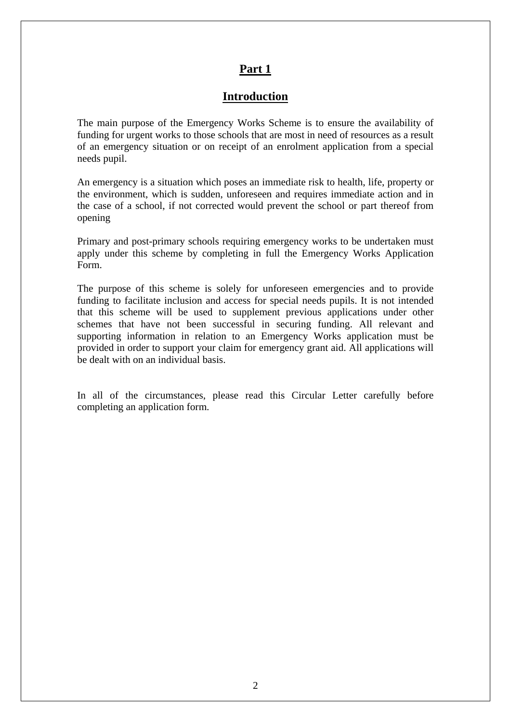## **Part 1**

## **Introduction**

The main purpose of the Emergency Works Scheme is to ensure the availability of funding for urgent works to those schools that are most in need of resources as a result of an emergency situation or on receipt of an enrolment application from a special needs pupil.

An emergency is a situation which poses an immediate risk to health, life, property or the environment, which is sudden, unforeseen and requires immediate action and in the case of a school, if not corrected would prevent the school or part thereof from opening

Primary and post-primary schools requiring emergency works to be undertaken must [apply under this scheme by completing in full the Emergency Works Application](http://www.education.ie/en/Schools-Colleges/Services/Building-Works/Emergency-Works-Application-Form.doc) Form.

The purpose of this scheme is solely for unforeseen emergencies and to provide funding to facilitate inclusion and access for special needs pupils. It is not intended that this scheme will be used to supplement previous applications under other schemes that have not been successful in securing funding. All relevant and supporting information in relation to an Emergency Works application must be provided in order to support your claim for emergency grant aid. All applications will be dealt with on an individual basis.

In all of the circumstances, please read this Circular Letter carefully before completing an application form.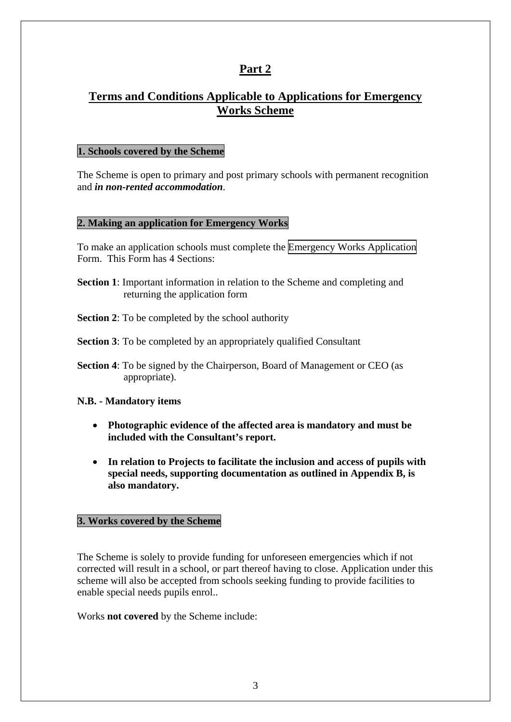## **Part 2**

# **Terms and Conditions Applicable to Applications for Emergency Works Scheme**

#### **1. Schools covered by the Scheme**

The Scheme is open to primary and post primary schools with permanent recognition and *in non-rented accommodation*.

#### **2. Making an application for Emergency Works**

To make an application schools must complete the [Emergency Works Application](http://www.education.ie/en/Schools-Colleges/Services/Building-Works/Emergency-Works-Application-Form.doc) Form. This Form has 4 Sections:

- **Section 1**: Important information in relation to the Scheme and completing and returning the application form
- **Section 2**: To be completed by the school authority
- **Section 3:** To be completed by an appropriately qualified Consultant
- **Section 4**: To be signed by the Chairperson, Board of Management or CEO (as appropriate).

#### **N.B. - Mandatory items**

- **Photographic evidence of the affected area is mandatory and must be included with the Consultant's report.**
- **In relation to Projects to facilitate the inclusion and access of pupils with special needs, supporting documentation as outlined in Appendix B, is also mandatory.**

### **3. Works covered by the Scheme**

The Scheme is solely to provide funding for unforeseen emergencies which if not corrected will result in a school, or part thereof having to close. Application under this scheme will also be accepted from schools seeking funding to provide facilities to enable special needs pupils enrol..

Works **not covered** by the Scheme include: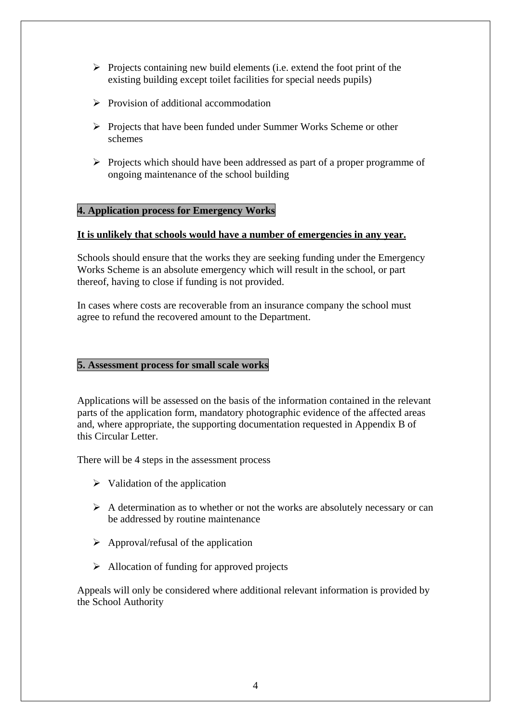- $\triangleright$  Projects containing new build elements (i.e. extend the foot print of the existing building except toilet facilities for special needs pupils)
- $\triangleright$  Provision of additional accommodation
- ¾ Projects that have been funded under Summer Works Scheme or other schemes
- ¾ Projects which should have been addressed as part of a proper programme of ongoing maintenance of the school building

## **4. Application process for Emergency Works**

#### **It is unlikely that schools would have a number of emergencies in any year.**

Schools should ensure that the works they are seeking funding under the Emergency Works Scheme is an absolute emergency which will result in the school, or part thereof, having to close if funding is not provided.

In cases where costs are recoverable from an insurance company the school must agree to refund the recovered amount to the Department.

### **5. Assessment process for small scale works**

Applications will be assessed on the basis of the information contained in the relevant parts of the application form, mandatory photographic evidence of the affected areas and, where appropriate, the supporting documentation requested in Appendix B of this Circular Letter.

There will be 4 steps in the assessment process

- $\triangleright$  Validation of the application
- $\triangleright$  A determination as to whether or not the works are absolutely necessary or can be addressed by routine maintenance
- $\triangleright$  Approval/refusal of the application
- $\triangleright$  Allocation of funding for approved projects

Appeals will only be considered where additional relevant information is provided by the School Authority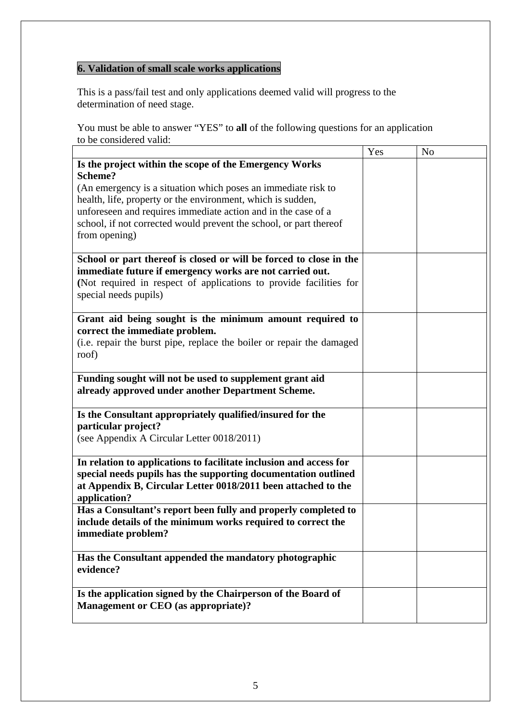# **6. Validation of small scale works applications**

This is a pass/fail test and only applications deemed valid will progress to the determination of need stage.

You must be able to answer "YES" to **all** of the following questions for an application to be considered valid:

|                                                                       | Yes | N <sub>o</sub> |
|-----------------------------------------------------------------------|-----|----------------|
| Is the project within the scope of the Emergency Works                |     |                |
| Scheme?                                                               |     |                |
| (An emergency is a situation which poses an immediate risk to         |     |                |
| health, life, property or the environment, which is sudden,           |     |                |
| unforeseen and requires immediate action and in the case of a         |     |                |
| school, if not corrected would prevent the school, or part thereof    |     |                |
| from opening)                                                         |     |                |
|                                                                       |     |                |
| School or part thereof is closed or will be forced to close in the    |     |                |
| immediate future if emergency works are not carried out.              |     |                |
| (Not required in respect of applications to provide facilities for    |     |                |
| special needs pupils)                                                 |     |                |
|                                                                       |     |                |
| Grant aid being sought is the minimum amount required to              |     |                |
| correct the immediate problem.                                        |     |                |
| (i.e. repair the burst pipe, replace the boiler or repair the damaged |     |                |
| roof)                                                                 |     |                |
|                                                                       |     |                |
| Funding sought will not be used to supplement grant aid               |     |                |
| already approved under another Department Scheme.                     |     |                |
|                                                                       |     |                |
| Is the Consultant appropriately qualified/insured for the             |     |                |
| particular project?                                                   |     |                |
| (see Appendix A Circular Letter 0018/2011)                            |     |                |
|                                                                       |     |                |
| In relation to applications to facilitate inclusion and access for    |     |                |
| special needs pupils has the supporting documentation outlined        |     |                |
| at Appendix B, Circular Letter 0018/2011 been attached to the         |     |                |
| application?                                                          |     |                |
| Has a Consultant's report been fully and properly completed to        |     |                |
| include details of the minimum works required to correct the          |     |                |
| immediate problem?                                                    |     |                |
|                                                                       |     |                |
| Has the Consultant appended the mandatory photographic                |     |                |
| evidence?                                                             |     |                |
|                                                                       |     |                |
| Is the application signed by the Chairperson of the Board of          |     |                |
| <b>Management or CEO</b> (as appropriate)?                            |     |                |
|                                                                       |     |                |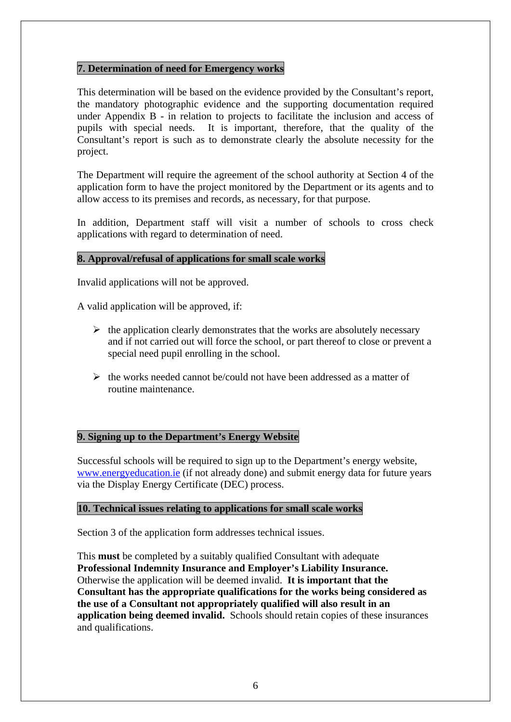## **7. Determination of need for Emergency works**

This determination will be based on the evidence provided by the Consultant's report, the mandatory photographic evidence and the supporting documentation required under Appendix B - in relation to projects to facilitate the inclusion and access of pupils with special needs. It is important, therefore, that the quality of the Consultant's report is such as to demonstrate clearly the absolute necessity for the project.

The Department will require the agreement of the school authority at Section 4 of the application form to have the project monitored by the Department or its agents and to allow access to its premises and records, as necessary, for that purpose.

In addition, Department staff will visit a number of schools to cross check applications with regard to determination of need.

### **8. Approval/refusal of applications for small scale works**

Invalid applications will not be approved.

A valid application will be approved, if:

- $\triangleright$  the application clearly demonstrates that the works are absolutely necessary and if not carried out will force the school, or part thereof to close or prevent a special need pupil enrolling in the school.
- $\triangleright$  the works needed cannot be/could not have been addressed as a matter of routine maintenance.

#### **9. Signing up to the Department's Energy Website**

Successful schools will be required to sign up to the Department's energy website, [www.energyeducation.ie](http://www.energyeducation.ie/) (if not already done) and submit energy data for future years via the Display Energy Certificate (DEC) process.

#### **10. Technical issues relating to applications for small scale works**

Section 3 of the application form addresses technical issues.

This **must** be completed by a suitably qualified Consultant with adequate **Professional Indemnity Insurance and Employer's Liability Insurance.**  Otherwise the application will be deemed invalid. **It is important that the Consultant has the appropriate qualifications for the works being considered as the use of a Consultant not appropriately qualified will also result in an application being deemed invalid.** Schools should retain copies of these insurances and qualifications.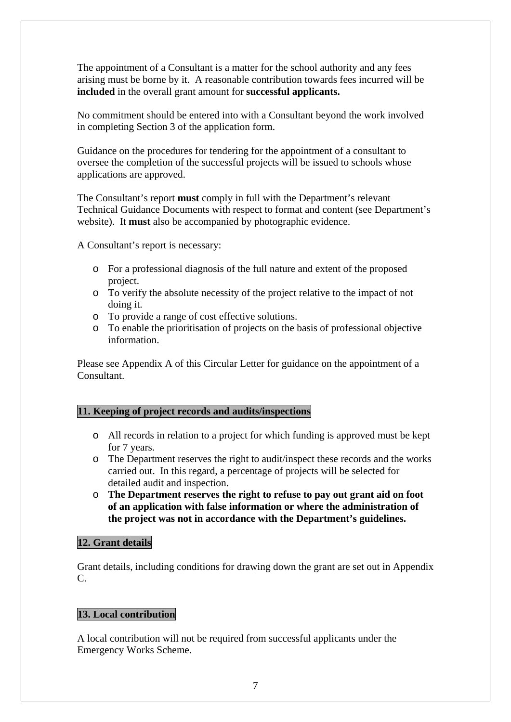The appointment of a Consultant is a matter for the school authority and any fees arising must be borne by it. A reasonable contribution towards fees incurred will be **included** in the overall grant amount for **successful applicants.**

No commitment should be entered into with a Consultant beyond the work involved in completing Section 3 of the application form.

Guidance on the procedures for tendering for the appointment of a consultant to oversee the completion of the successful projects will be issued to schools whose applications are approved.

The Consultant's report **must** comply in full with the Department's relevant Technical Guidance Documents with respect to format and content (see Department's website). It **must** also be accompanied by photographic evidence.

A Consultant's report is necessary:

- o For a professional diagnosis of the full nature and extent of the proposed project.
- o To verify the absolute necessity of the project relative to the impact of not doing it.
- o To provide a range of cost effective solutions.
- o To enable the prioritisation of projects on the basis of professional objective information.

Please see Appendix A of this Circular Letter for guidance on the appointment of a Consultant.

## **11. Keeping of project records and audits/inspections**

- o All records in relation to a project for which funding is approved must be kept for 7 years.
- o The Department reserves the right to audit/inspect these records and the works carried out. In this regard, a percentage of projects will be selected for detailed audit and inspection.
- o **The Department reserves the right to refuse to pay out grant aid on foot of an application with false information or where the administration of the project was not in accordance with the Department's guidelines.**

#### **12. Grant details**

Grant details, including conditions for drawing down the grant are set out in Appendix C.

## **13. Local contribution**

A local contribution will not be required from successful applicants under the Emergency Works Scheme.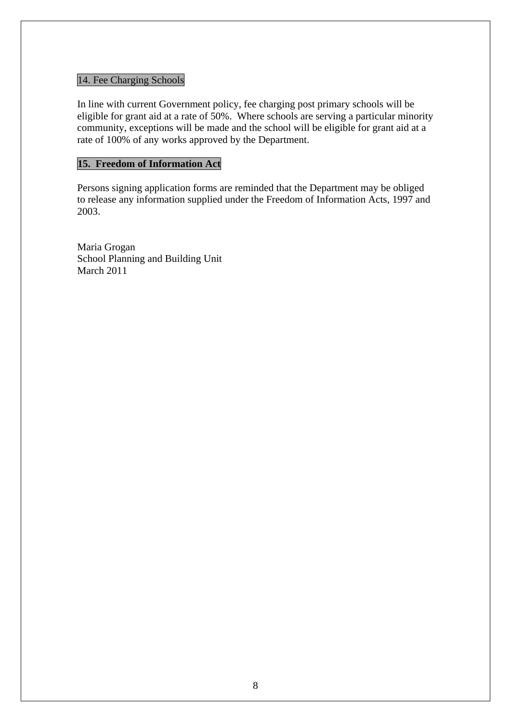## 14. Fee Charging Schools

In line with current Government policy, fee charging post primary schools will be eligible for grant aid at a rate of 50%. Where schools are serving a particular minority community, exceptions will be made and the school will be eligible for grant aid at a rate of 100% of any works approved by the Department.

## **15. Freedom of Information Act**

Persons signing application forms are reminded that the Department may be obliged to release any information supplied under the Freedom of Information Acts, 1997 and 2003.

Maria Grogan School Planning and Building Unit March 2011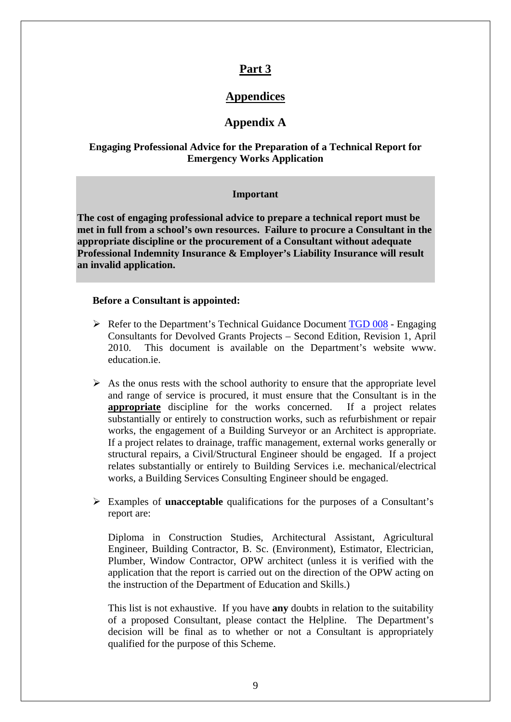## **Part 3**

## **Appendices**

## **Appendix A**

### **Engaging Professional Advice for the Preparation of a Technical Report for Emergency Works Application**

#### **Important**

**The cost of engaging professional advice to prepare a technical report must be met in full from a school's own resources. Failure to procure a Consultant in the appropriate discipline or the procurement of a Consultant without adequate Professional Indemnity Insurance & Employer's Liability Insurance will result an invalid application.** 

#### **Before a Consultant is appointed:**

- $\triangleright$  Refer to the Department's Technical Guidance Document [TGD 008](http://www.education.ie/en/School-Design/Procedures%20and%20Cost%20Plans/pbu_dtp_guidance_procuring_consultants_small_works.doc) Engaging Consultants for Devolved Grants Projects – Second Edition, Revision 1, April 2010. This document is available on the Department's website www. education.ie.
- $\triangleright$  As the onus rests with the school authority to ensure that the appropriate level and range of service is procured, it must ensure that the Consultant is in the **appropriate** discipline for the works concerned. If a project relates substantially or entirely to construction works, such as refurbishment or repair works, the engagement of a Building Surveyor or an Architect is appropriate. If a project relates to drainage, traffic management, external works generally or structural repairs, a Civil/Structural Engineer should be engaged. If a project relates substantially or entirely to Building Services i.e. mechanical/electrical works, a Building Services Consulting Engineer should be engaged.
- ¾ Examples of **unacceptable** qualifications for the purposes of a Consultant's report are:

Diploma in Construction Studies, Architectural Assistant, Agricultural Engineer, Building Contractor, B. Sc. (Environment), Estimator, Electrician, Plumber, Window Contractor, OPW architect (unless it is verified with the application that the report is carried out on the direction of the OPW acting on the instruction of the Department of Education and Skills.)

This list is not exhaustive. If you have **any** doubts in relation to the suitability of a proposed Consultant, please contact the Helpline. The Department's decision will be final as to whether or not a Consultant is appropriately qualified for the purpose of this Scheme.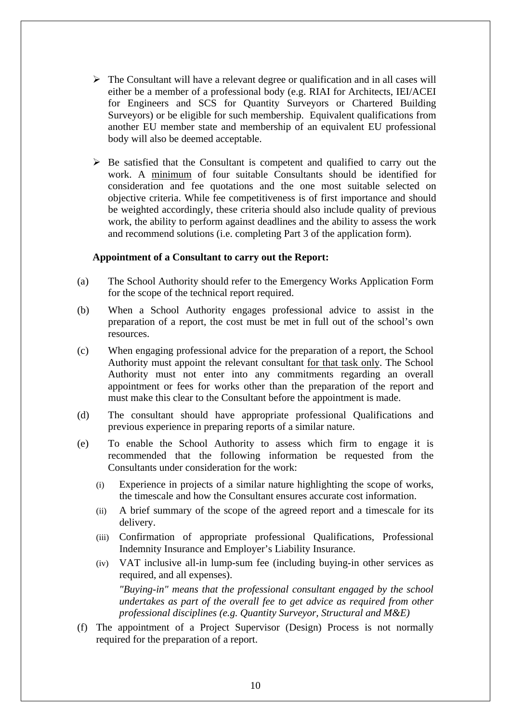- $\triangleright$  The Consultant will have a relevant degree or qualification and in all cases will either be a member of a professional body (e.g. RIAI for Architects, IEI/ACEI for Engineers and SCS for Quantity Surveyors or Chartered Building Surveyors) or be eligible for such membership. Equivalent qualifications from another EU member state and membership of an equivalent EU professional body will also be deemed acceptable.
- $\triangleright$  Be satisfied that the Consultant is competent and qualified to carry out the work. A minimum of four suitable Consultants should be identified for consideration and fee quotations and the one most suitable selected on objective criteria. While fee competitiveness is of first importance and should be weighted accordingly, these criteria should also include quality of previous work, the ability to perform against deadlines and the ability to assess the work and recommend solutions (i.e. completing Part 3 of the application form).

#### **Appointment of a Consultant to carry out the Report:**

- (a) The School Authority should refer to the Emergency Works Application Form for the scope of the technical report required.
- (b) When a School Authority engages professional advice to assist in the preparation of a report, the cost must be met in full out of the school's own resources.
- (c) When engaging professional advice for the preparation of a report, the School Authority must appoint the relevant consultant for that task only. The School Authority must not enter into any commitments regarding an overall appointment or fees for works other than the preparation of the report and must make this clear to the Consultant before the appointment is made.
- (d) The consultant should have appropriate professional Qualifications and previous experience in preparing reports of a similar nature.
- (e) To enable the School Authority to assess which firm to engage it is recommended that the following information be requested from the Consultants under consideration for the work:
	- (i) Experience in projects of a similar nature highlighting the scope of works, the timescale and how the Consultant ensures accurate cost information.
	- (ii) A brief summary of the scope of the agreed report and a timescale for its delivery.
	- (iii) Confirmation of appropriate professional Qualifications, Professional Indemnity Insurance and Employer's Liability Insurance.
	- (iv) VAT inclusive all-in lump-sum fee (including buying-in other services as required, and all expenses).

*"Buying-in" means that the professional consultant engaged by the school undertakes as part of the overall fee to get advice as required from other professional disciplines (e.g. Quantity Surveyor, Structural and M&E)* 

(f) The appointment of a Project Supervisor (Design) Process is not normally required for the preparation of a report.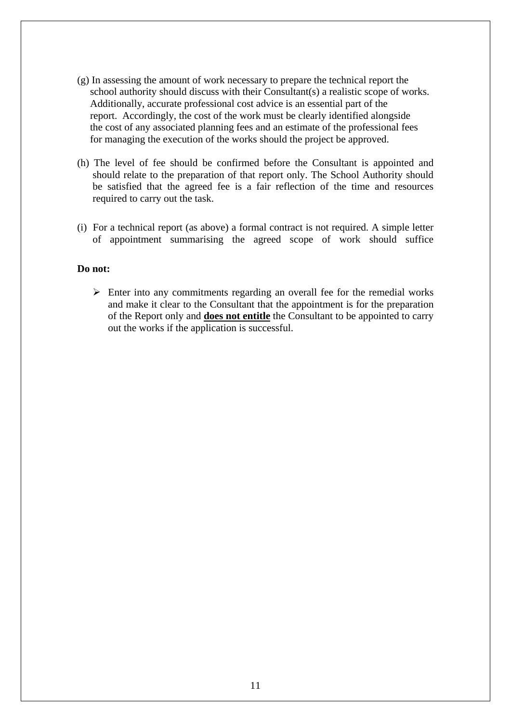- (g) In assessing the amount of work necessary to prepare the technical report the school authority should discuss with their Consultant(s) a realistic scope of works. Additionally, accurate professional cost advice is an essential part of the report. Accordingly, the cost of the work must be clearly identified alongside the cost of any associated planning fees and an estimate of the professional fees for managing the execution of the works should the project be approved.
- (h) The level of fee should be confirmed before the Consultant is appointed and should relate to the preparation of that report only. The School Authority should be satisfied that the agreed fee is a fair reflection of the time and resources required to carry out the task.
- (i) For a technical report (as above) a formal contract is not required. A simple letter of appointment summarising the agreed scope of work should suffice

#### **Do not:**

 $\triangleright$  Enter into any commitments regarding an overall fee for the remedial works and make it clear to the Consultant that the appointment is for the preparation of the Report only and **does not entitle** the Consultant to be appointed to carry out the works if the application is successful.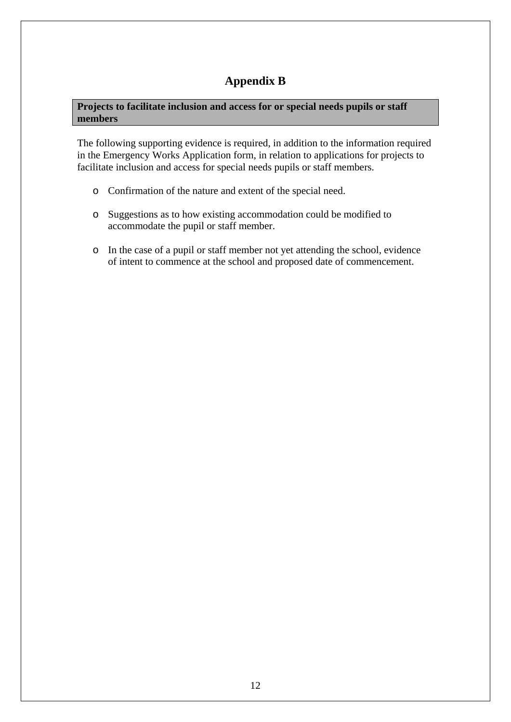# **Appendix B**

**Projects to facilitate inclusion and access for or special needs pupils or staff members** 

The following supporting evidence is required, in addition to the information required in the Emergency Works Application form, in relation to applications for projects to facilitate inclusion and access for special needs pupils or staff members.

- o Confirmation of the nature and extent of the special need.
- o Suggestions as to how existing accommodation could be modified to accommodate the pupil or staff member.
- o In the case of a pupil or staff member not yet attending the school, evidence of intent to commence at the school and proposed date of commencement.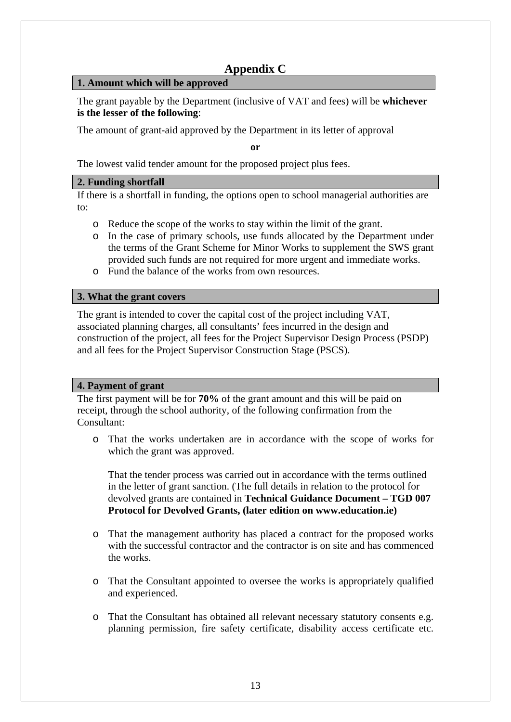## **Appendix C**

### **1. Amount which will be approved**

The grant payable by the Department (inclusive of VAT and fees) will be **whichever is the lesser of the following**:

The amount of grant-aid approved by the Department in its letter of approval

**or** 

The lowest valid tender amount for the proposed project plus fees.

## **2. Funding shortfall**

If there is a shortfall in funding, the options open to school managerial authorities are to:

- o Reduce the scope of the works to stay within the limit of the grant.
- o In the case of primary schools, use funds allocated by the Department under the terms of the Grant Scheme for Minor Works to supplement the SWS grant provided such funds are not required for more urgent and immediate works.
- o Fund the balance of the works from own resources.

## **3. What the grant covers**

The grant is intended to cover the capital cost of the project including VAT, associated planning charges, all consultants' fees incurred in the design and construction of the project, all fees for the Project Supervisor Design Process (PSDP) and all fees for the Project Supervisor Construction Stage (PSCS).

## **4. Payment of grant**

The first payment will be for **70%** of the grant amount and this will be paid on receipt, through the school authority, of the following confirmation from the Consultant:

o That the works undertaken are in accordance with the scope of works for which the grant was approved.

That the tender process was carried out in accordance with the terms outlined in the letter of grant sanction. (The full details in relation to the protocol for devolved grants are contained in **Technical Guidance Document – TGD 007 Protocol for Devolved Grants, (later edition on www.education.ie)** 

- o That the management authority has placed a contract for the proposed works with the successful contractor and the contractor is on site and has commenced the works.
- o That the Consultant appointed to oversee the works is appropriately qualified and experienced.
- o That the Consultant has obtained all relevant necessary statutory consents e.g. planning permission, fire safety certificate, disability access certificate etc.